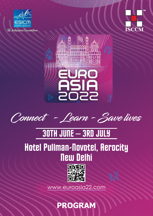





**Connect - Learn - Save lives**

## 30TH JUNE – 3RD JULY

### Hotel Pullman-Novotel, Aerocity New Delhi



[www.euroasia22.com](https://www.euroasia22.com/)

**PROGRAM**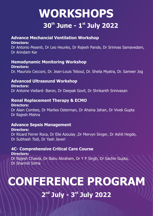## **WORKSHOPS**  $30<sup>th</sup>$  June - 1<sup>st</sup> July 2022

#### **Advance Mechancial Ventilation Workshop**

#### **Directors:**

Dr Antonio Pesenti, Dr Leo Heunks, Dr Rajesh Pande, Dr Srinivas Samavedam, Dr Arindam Kar

#### **Hemodynamic Monitoring Workshop**

**Directors:**  Dr. Maurizio Cecconi, Dr. Jean-Louis Teboul, Dr. Sheila Myatra, Dr. Sameer Jog

#### **Advanced Ultrasound Workshop**

**Directors:**  Dr Antoine Viellard- Baron, Dr Deepak Govil, Dr Shrikanth Srinivasan

#### **Renal Replacement Therapy & ECMO**

**Directors:**  Dr Alain Combes, Dr Marlies Osterman, Dr Ahsina Jahan, Dr Vivek Gupta Dr Rajesh Mishra

#### **Advance Sepsis Management**

**Directors:** Dr Ricard Ferrer Roca, Dr Elie Azoulay ,Dr Mervyn Singer, Dr Ashit Hegde, Dr Subhash Todi, Dr Yash Javeri

#### **4C- Comprehensive Critical Care Course**

**Directors:**  Dr Rajesh Chawla, Dr Babu Abraham, Dr Y P Singh, Dr Sachin Gupta, Dr Sharmili Sinha

# **CONFERENCE PROGRAM**

### 2<sup>nd</sup> July - 3<sup>rd</sup> July 2022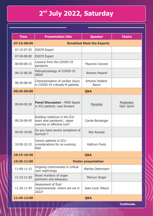### **nd 2 July 2022, Saturday**

| <b>Time</b> | <b>Presentation title</b>                                                                  | <b>Speaker</b>                    | <b>Chairs</b>            |  |  |
|-------------|--------------------------------------------------------------------------------------------|-----------------------------------|--------------------------|--|--|
| 07:15-08:00 | <b>Breakfast Meet the Experts</b>                                                          |                                   |                          |  |  |
| 07:15-07:35 | <b>ESICM Expert</b>                                                                        |                                   |                          |  |  |
| 07:40-08:00 | <b>ESICM Expert</b>                                                                        |                                   |                          |  |  |
| 08:00-08:15 | Lessons from the COVID-19<br>pandemic                                                      | Maurizio Cecconi                  |                          |  |  |
| 08:15-08:30 | Pathophysiology of COVID-19<br><b>ARDS</b>                                                 | Antonio Pesenti                   |                          |  |  |
| 08:30-08:45 | Characterisation of cardiac injury<br>in COVID-19 critically-ill patients                  | Antoine Viellard-<br><b>Baron</b> |                          |  |  |
| 08:45-09:00 |                                                                                            | Q&A                               |                          |  |  |
| 09:00-09:30 | <b>Panel Discussion - MDR Sepsis</b><br>in ICU patients -way forward                       | Panelists                         | Moderator<br>Yash Javeri |  |  |
| 09:30-09:45 | Building resilience in the ICU<br>team post pandemic; paper<br>exercise or effective tool? | Carole Boulanger                  |                          |  |  |
| 09:45-10:00 | Do you have severe symptoms of<br>burnout?                                                 | Elie Azoulay                      |                          |  |  |
| 10:00-10:15 | Cancer patients in ICU:<br>considerations for an evolving<br>field                         | Kathryn Puxty                     |                          |  |  |
| 10:15-10:30 | Q&A                                                                                        |                                   |                          |  |  |
| 10:30-11:00 | <b>Poster presentation</b>                                                                 |                                   |                          |  |  |
| 11:00-11:15 | Ongoing controversies in critical<br>care nephrology                                       | <b>Marlies Ostermann</b>          |                          |  |  |
| 11:15-11:30 | Novel monitors of organ<br>perfusion and adequacy                                          | Mervyn Singer                     |                          |  |  |
| 11:30-11:45 | Assessment of fluid<br>responsiveness: where are we in<br>2022?                            | Jean-Louis Teboul                 |                          |  |  |
| 11:45-12:00 |                                                                                            | Q&A                               |                          |  |  |

**Continued..**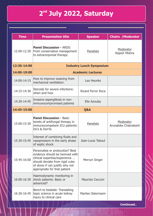### **nd 2 July 2022, Saturday**

| <b>Time</b> | <b>Presentation title</b>                                                                                                                                                                                  | <b>Chairs / Moderator</b>       |                                    |  |  |  |
|-------------|------------------------------------------------------------------------------------------------------------------------------------------------------------------------------------------------------------|---------------------------------|------------------------------------|--|--|--|
| 12:00-12:30 | <b>Panel Discussion - ARDS:</b><br>From conservative management<br>to extracorporeal therapy                                                                                                               | Panelists                       | Moderator<br>Rajesh Mishra         |  |  |  |
| 12:30-14:00 |                                                                                                                                                                                                            | <b>Industry Lunch Symposium</b> |                                    |  |  |  |
| 14:00-19:00 |                                                                                                                                                                                                            | <b>Academic Lectures</b>        |                                    |  |  |  |
| 14:00-14:15 | How to improve weaning from<br>mechanical ventilation:                                                                                                                                                     | Leo Heunks                      |                                    |  |  |  |
| 14:15-14:30 | Steroids for severe infections:<br>when and how                                                                                                                                                            | Ricard Ferrer Roca              |                                    |  |  |  |
| 14:30-14:45 | Invasive aspergillosis in non-<br>Elie Azoulay<br>immunocompromised patients                                                                                                                               |                                 |                                    |  |  |  |
| 14:45-15:00 | Q&A                                                                                                                                                                                                        |                                 |                                    |  |  |  |
| 15:00-15:30 | <b>Panel Discussion - Basic</b><br>tenets of antifungal therapy in<br>immunocompetent ICU patients:<br>Do's & Don'ts                                                                                       | Panelists                       | Moderator<br>Arunaloke Chakrabarti |  |  |  |
| 15:30-15:45 | Interest of combining fluids and<br>vasopressors in the early phase<br>of septic shock                                                                                                                     | Jean-Louis Teboul               |                                    |  |  |  |
| 15:45-16:00 | Personalise or protocolize? Best<br>evidence should be twinned with<br>clinical expertise/experience<br>should deviate from rigid rules<br>of stone if can justify why not<br>appropriate for that patient | Mervyn Singer                   |                                    |  |  |  |
| 16:00-16:30 | Haemodynamic monitoring in<br>shock patients: Basic or<br>advanced?                                                                                                                                        | Maurizio Cecconi                |                                    |  |  |  |
| 16:30-16:45 | Bench to bedside: Translating<br>basic science in acute kidney<br>injury to clinical care                                                                                                                  | <b>Marlies Ostermann</b>        |                                    |  |  |  |

**Continued..**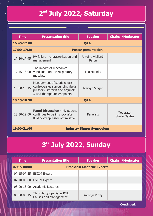#### **nd 2 July 2022, Saturday**

| <b>Time</b> | <b>Presentation title</b>                                                                                                         | <b>Speaker</b>                           | <b>Chairs / Moderator</b>  |  |  |  |
|-------------|-----------------------------------------------------------------------------------------------------------------------------------|------------------------------------------|----------------------------|--|--|--|
| 16:45-17:00 | Q&A                                                                                                                               |                                          |                            |  |  |  |
| 17:00-17:30 |                                                                                                                                   | <b>Poster presentation</b>               |                            |  |  |  |
| 17:30-17:45 | RV failure: characterisation and<br>management                                                                                    | <b>Antoine Viellard-</b><br><b>Baron</b> |                            |  |  |  |
| 17:45-18:00 | The impact of mechanical<br>ventilation on the respiratory<br>muscles.                                                            | Leo Heunks                               |                            |  |  |  |
| 18:00-18:15 | Management of septic shock -<br>controversies surrounding fluids,<br>pressors, steroids and adjuncts<br>and therapeutic endpoints | Mervyn Singer                            |                            |  |  |  |
| 18:15-18:30 | Q&A                                                                                                                               |                                          |                            |  |  |  |
| 18:30-19:00 | <b>Panel Discussion - My patient</b><br>continues to be in shock after<br>fluid & vasopressor optimisation                        | <b>Panelists</b>                         | Moderator<br>Sheila Myatra |  |  |  |
| 19:00-21:00 | <b>Industry Dinner Symposium</b>                                                                                                  |                                          |                            |  |  |  |

### **rd 3 July 2022, Sunday**

| <b>Time</b> | <b>Presentation title</b>                                | <b>Speaker</b> | <b>Chairs / Moderator</b> |  |  |
|-------------|----------------------------------------------------------|----------------|---------------------------|--|--|
| 07:15-08:00 | <b>Breakfast Meet the Experts</b>                        |                |                           |  |  |
|             | 07:15-07:35 ESICM Expert                                 |                |                           |  |  |
|             | 07:40-08:00 ESICM Expert                                 |                |                           |  |  |
|             | 08:00-13:00 Academic Lectures                            |                |                           |  |  |
| 08:00-08:15 | Thrombocytopenia in ICU:<br><b>Causes and Management</b> | Kathryn Puxty  |                           |  |  |

**Continued..**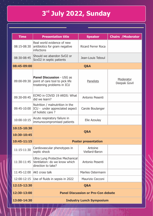### **rd 3 July 2022, Sunday**

| <b>Time</b> | <b>Presentation title</b>                                                                         | <b>Chairs / Moderator</b> |                                  |  |  |
|-------------|---------------------------------------------------------------------------------------------------|---------------------------|----------------------------------|--|--|
| 08:15-08:30 | Real world evidence of new<br>antibiotics for gram negative<br>infections                         | Ricard Ferrer Roca        |                                  |  |  |
| 08:30-08:45 | Should we abandon SvO2 or<br>ScvO2 in septic patients                                             | Jean-Louis Teboul         |                                  |  |  |
| 08:45-09:00 |                                                                                                   | Q&A                       |                                  |  |  |
| 09:00-09:30 | <b>Panel Discussion - USG as</b><br>point of care tool to pick life<br>treatening problems in ICU | Panelists                 | Moderator<br><b>Deepak Govil</b> |  |  |
| 09:30-09:45 | ECMO in COVID 19 ARDS: What<br>did we learn?                                                      | Antonio Pesenti           |                                  |  |  |
| 09:45-10:00 | Nutrition / malnutrition in the<br>ICU - under appreciated aspect<br>of holistic care?            | Carole Boulanger          |                                  |  |  |
| 10:00-10:15 | Acute respiratory failure in<br>Elie Azoulay<br>immunocompromised patients                        |                           |                                  |  |  |
| 10:15-10:30 |                                                                                                   |                           |                                  |  |  |
| 10:30-10:45 | Q&A                                                                                               |                           |                                  |  |  |
| 10:45-11:15 | <b>Poster presentation</b>                                                                        |                           |                                  |  |  |
| 11:15-11:30 | Cardiovascular phenotypes in<br>Antoine<br><b>Viellard-Baron</b><br>septic shock                  |                           |                                  |  |  |
| 11:30-11:45 | Ultra Lung Protective Mechanical<br>Ventilation: do we know which<br>direction to take?           | Antonio Pesenti           |                                  |  |  |
|             | 11:45-12:00 AKI cross talk                                                                        | <b>Marlies Ostermann</b>  |                                  |  |  |
|             | 12:00-12:15 Use of fluids in sepsis in 2022                                                       | Maurizio Cecconi          |                                  |  |  |
| 12:15-12:30 | Q&A                                                                                               |                           |                                  |  |  |
| 12:30-13:00 | <b>Panel Discussion or Pro-Con debate</b>                                                         |                           |                                  |  |  |
| 13:00-14:30 | <b>Industry Lunch Symposium</b>                                                                   |                           |                                  |  |  |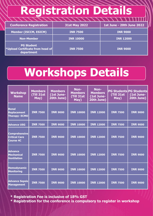# **Registration Details**

| <b>Conference Registration</b>                                             | 31st May 2022    | 1st June - 20th June 2022 |
|----------------------------------------------------------------------------|------------------|---------------------------|
| Member (ISCCM, ESICM)                                                      | <b>INR 7500</b>  | <b>INR 9000</b>           |
| Non-Member                                                                 | <b>INR 10000</b> | <b>INR 12000</b>          |
| <b>PG Student</b><br><b>Vupload Certificate from head of</b><br>department | <b>INR 7500</b>  | <b>INR 9000</b>           |

## **Workshops Details**

| <b>Workshop</b><br><b>Name</b>                                   | <b>Members</b><br>(Till 31st<br>May) | <b>Members</b><br>(1st June-<br>20th June) | Non-<br><b>Members</b><br>(Till 31st<br>May) | Non-<br><b>Members</b><br>(1st June-<br>20th June) | (Till 31st<br>May) | <b>PG Students PG Students</b><br>(1st June-<br>20th June) |
|------------------------------------------------------------------|--------------------------------------|--------------------------------------------|----------------------------------------------|----------------------------------------------------|--------------------|------------------------------------------------------------|
| Renal<br><b>Replacement</b><br><b>Therapy-ECMO</b>               | <b>INR 7500</b>                      | <b>INR 9000</b>                            | <b>INR 10000</b>                             | <b>INR 12000</b>                                   | <b>INR 7500</b>    | <b>INR 9000</b>                                            |
| <b>Advance USG</b>                                               | <b>INR 7500</b>                      | <b>INR 9000</b>                            | <b>INR 10000</b>                             | <b>INR 12000</b>                                   | <b>INR 7500</b>    | <b>INR 9000</b>                                            |
| <b>Comprehensive</b><br><b>Critical Care</b><br><b>Course 4C</b> | <b>INR 7500</b>                      | <b>INR 9000</b>                            | <b>INR 10000</b>                             | <b>INR 12000</b>                                   | <b>INR 7500</b>    | <b>INR 9000</b>                                            |
| <b>Advance</b><br><b>Mechanical</b><br><b>Ventilation</b>        | <b>INR 7500</b>                      | <b>INR 9000</b>                            | <b>INR 10000</b>                             | <b>INR 12000</b>                                   | <b>INR 7500</b>    | <b>INR 9000</b>                                            |
| <b>Hemodynamic</b><br><b>Monitoring</b>                          | <b>INR 7500</b>                      | <b>INR 9000</b>                            | <b>INR 10000</b>                             | <b>INR 12000</b>                                   | <b>INR 7500</b>    | <b>INR 9000</b>                                            |
| <b>Advance Sepsis</b><br><b>Management</b>                       | <b>INR 7500</b>                      | <b>INR 9000</b>                            | <b>INR 10000</b>                             | <b>INR 12000</b>                                   | <b>INR 7500</b>    | <b>INR 9000</b>                                            |

**\* Registration Fee is inclusive of 18% GST** 

**\* Registration for the conference is compulsory to register in workshop**